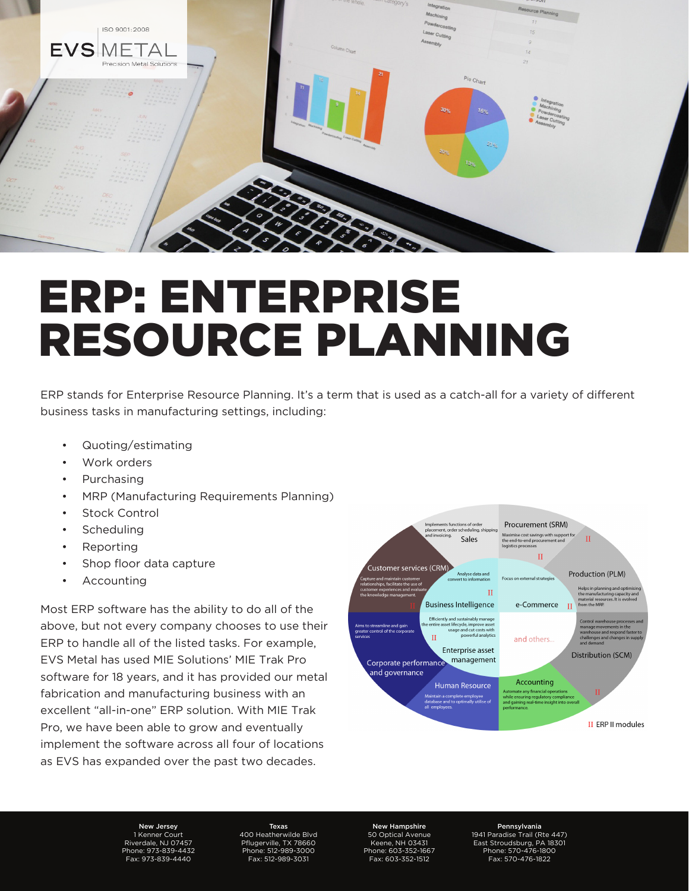

# ERP: ENTERPRISE RESOURCE PLANNING

ERP stands for Enterprise Resource Planning. It's a term that is used as a catch-all for a variety of different business tasks in manufacturing settings, including:

- Quoting/estimating
- Work orders
- Purchasing
- MRP (Manufacturing Requirements Planning)
- **Stock Control**
- **Scheduling**
- **Reporting**
- Shop floor data capture
- **Accounting**

Most ERP software has the ability to do all of the above, but not every company chooses to use their ERP to handle all of the listed tasks. For example, EVS Metal has used MIE Solutions' MIE Trak Pro software for 18 years, and it has provided our metal fabrication and manufacturing business with an excellent "all-in-one" ERP solution. With MIE Trak Pro, we have been able to grow and eventually implement the software across all four of locations as EVS has expanded over the past two decades.



New Jersey 1 Kenner Court Riverdale, NJ 07457 Phone: 973-839-4432 Fax: 973-839-4440

Texas 400 Heatherwilde Blvd Pflugerville, TX 78660 Phone: 512-989-3000 Fax: 512-989-3031

New Hampshire 50 Optical Avenue Keene, NH 03431 Phone: 603-352-1667 Fax: 603-352-1512

Pennsylvania 1941 Paradise Trail (Rte 447) East Stroudsburg, PA 18301 Phone: 570-476-1800 Fax: 570-476-1822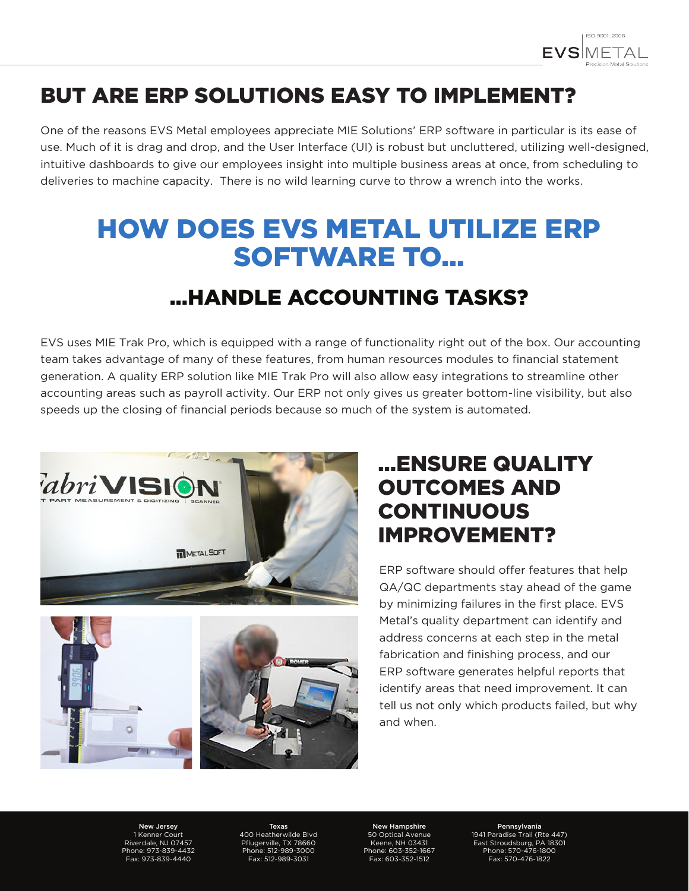

### BUT ARE ERP SOLUTIONS EASY TO IMPLEMENT?

One of the reasons EVS Metal employees appreciate MIE Solutions' ERP software in particular is its ease of use. Much of it is drag and drop, and the User Interface (UI) is robust but uncluttered, utilizing well-designed, intuitive dashboards to give our employees insight into multiple business areas at once, from scheduling to deliveries to machine capacity. There is no wild learning curve to throw a wrench into the works.

# HOW DOES EVS METAL UTILIZE ERP SOFTWARE TO...

#### ...HANDLE ACCOUNTING TASKS?

EVS uses MIE Trak Pro, which is equipped with a range of functionality right out of the box. Our accounting team takes advantage of many of these features, from human resources modules to financial statement generation. A quality ERP solution like MIE Trak Pro will also allow easy integrations to streamline other accounting areas such as payroll activity. Our ERP not only gives us greater bottom-line visibility, but also speeds up the closing of financial periods because so much of the system is automated.





#### ...ENSURE QUALITY OUTCOMES AND **CONTINUOUS** IMPROVEMENT?

ERP software should offer features that help QA/QC departments stay ahead of the game by minimizing failures in the first place. EVS Metal's quality department can identify and address concerns at each step in the metal fabrication and finishing process, and our ERP software generates helpful reports that identify areas that need improvement. It can tell us not only which products failed, but why and when.

New Jersey 1 Kenner Court Riverdale, NJ 07457 Phone: 973-839-4432 Fax: 973-839-4440

Texas 400 Heatherwilde Blvd Pflugerville, TX 78660 Phone: 512-989-3000 Fax: 512-989-3031

New Hampshire 50 Optical Avenue Keene, NH 03431 Phone: 603-352-1667 Fax: 603-352-1512

Pennsylvania 1941 Paradise Trail (Rte 447) East Stroudsburg, PA 18301 Phone: 570-476-1800 Fax: 570-476-1822